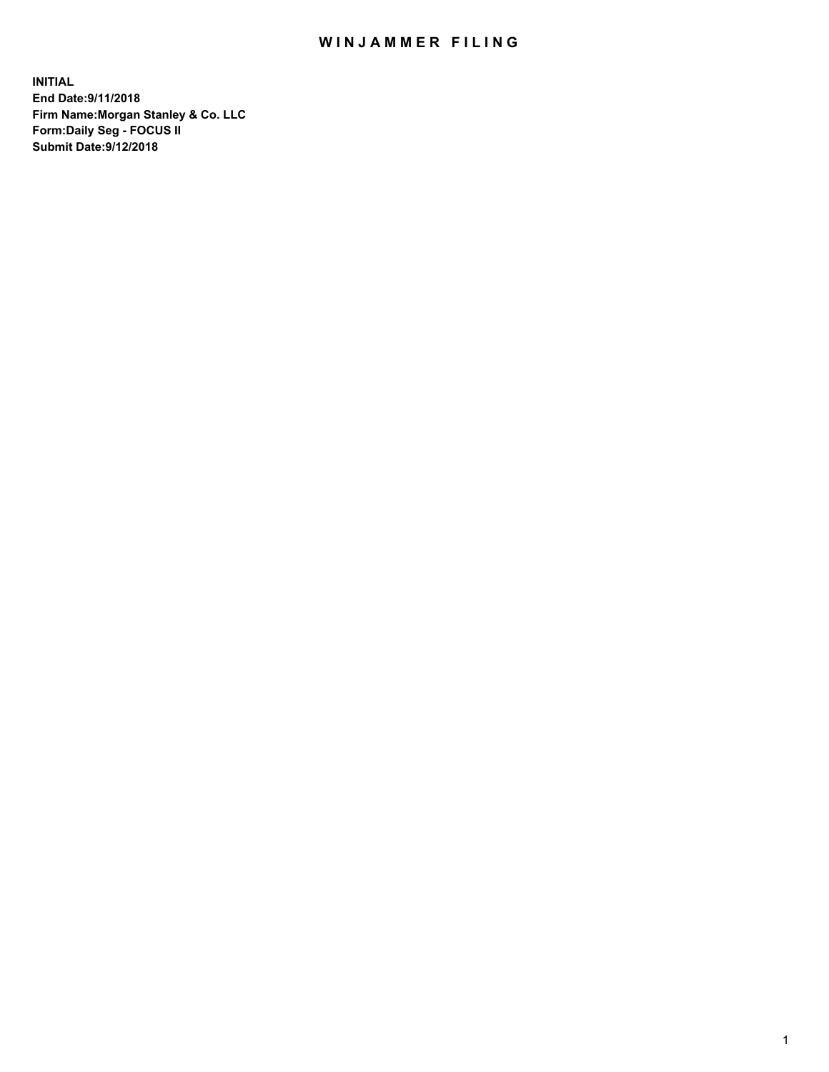## WIN JAMMER FILING

**INITIAL End Date:9/11/2018 Firm Name:Morgan Stanley & Co. LLC Form:Daily Seg - FOCUS II Submit Date:9/12/2018**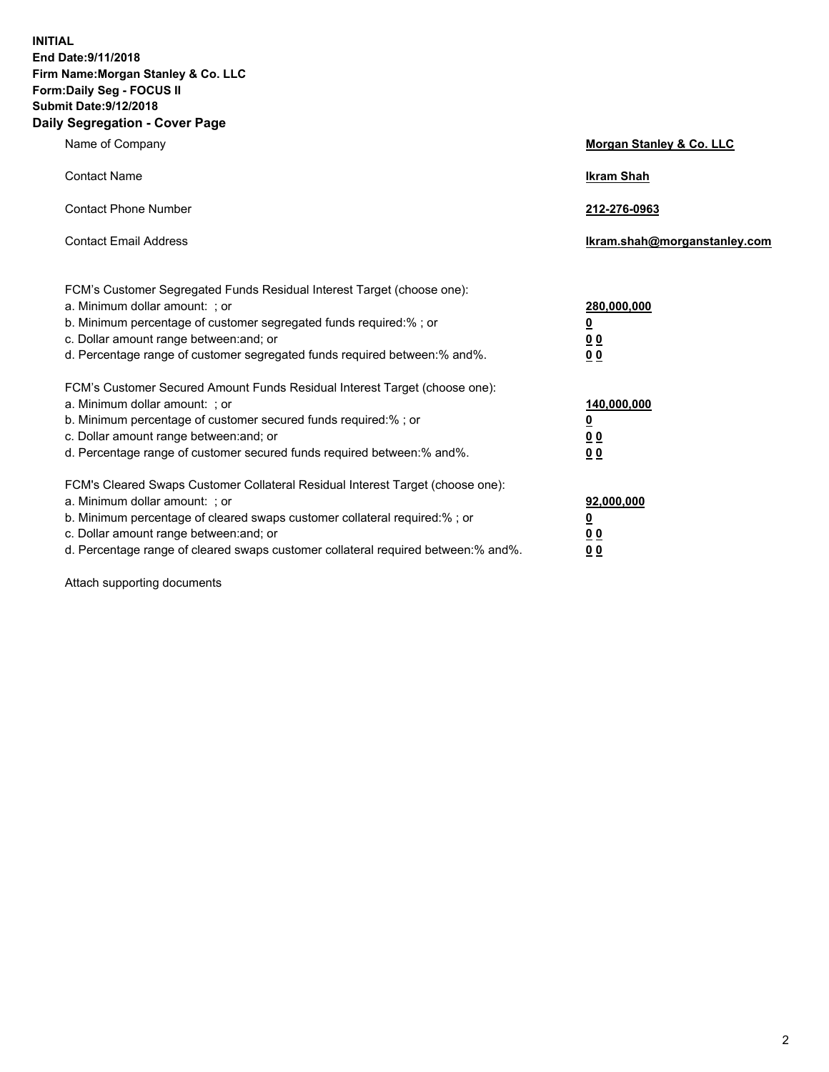**INITIAL End Date:9/11/2018 Firm Name:Morgan Stanley & Co. LLC Form:Daily Seg - FOCUS II Submit Date:9/12/2018 Daily Segregation - Cover Page**

| Name of Company                                                                                                                                                                                                                                                                                                               | Morgan Stanley & Co. LLC                                    |
|-------------------------------------------------------------------------------------------------------------------------------------------------------------------------------------------------------------------------------------------------------------------------------------------------------------------------------|-------------------------------------------------------------|
| <b>Contact Name</b>                                                                                                                                                                                                                                                                                                           | <b>Ikram Shah</b>                                           |
| <b>Contact Phone Number</b>                                                                                                                                                                                                                                                                                                   | 212-276-0963                                                |
| <b>Contact Email Address</b>                                                                                                                                                                                                                                                                                                  | Ikram.shah@morganstanley.com                                |
| FCM's Customer Segregated Funds Residual Interest Target (choose one):<br>a. Minimum dollar amount: ; or<br>b. Minimum percentage of customer segregated funds required:% ; or<br>c. Dollar amount range between: and; or<br>d. Percentage range of customer segregated funds required between:% and%.                        | 280,000,000<br><u>0</u><br><u>00</u><br>0 <sup>0</sup>      |
| FCM's Customer Secured Amount Funds Residual Interest Target (choose one):<br>a. Minimum dollar amount: ; or<br>b. Minimum percentage of customer secured funds required:%; or<br>c. Dollar amount range between: and; or<br>d. Percentage range of customer secured funds required between:% and%.                           | 140,000,000<br><u>0</u><br>0 <sub>0</sub><br>0 <sub>0</sub> |
| FCM's Cleared Swaps Customer Collateral Residual Interest Target (choose one):<br>a. Minimum dollar amount: ; or<br>b. Minimum percentage of cleared swaps customer collateral required:%; or<br>c. Dollar amount range between: and; or<br>d. Percentage range of cleared swaps customer collateral required between:% and%. | 92,000,000<br><u>0</u><br>0 Q<br>00                         |

Attach supporting documents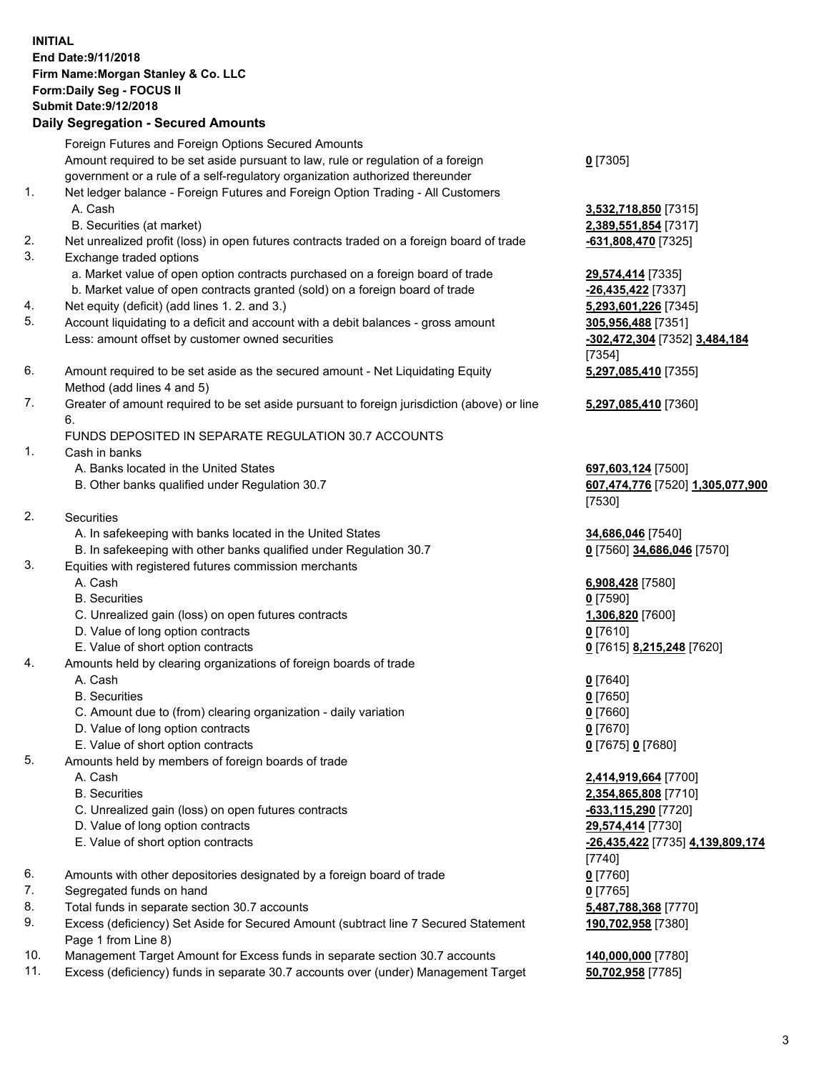## **INITIAL End Date:9/11/2018 Firm Name:Morgan Stanley & Co. LLC Form:Daily Seg - FOCUS II Submit Date:9/12/2018 Daily Segregation - Secured Amounts**

Foreign Futures and Foreign Options Secured Amounts Amount required to be set aside pursuant to law, rule or regulation of a foreign government or a rule of a self-regulatory organization authorized thereunder

- 1. Net ledger balance Foreign Futures and Foreign Option Trading All Customers A. Cash **3,532,718,850** [7315]
	- B. Securities (at market) **2,389,551,854** [7317]
- 2. Net unrealized profit (loss) in open futures contracts traded on a foreign board of trade **-631,808,470** [7325]
- 3. Exchange traded options
	- a. Market value of open option contracts purchased on a foreign board of trade **29,574,414** [7335]
	- b. Market value of open contracts granted (sold) on a foreign board of trade **-26,435,422** [7337]
- 4. Net equity (deficit) (add lines 1. 2. and 3.) **5,293,601,226** [7345]
- 5. Account liquidating to a deficit and account with a debit balances gross amount **305,956,488** [7351] Less: amount offset by customer owned securities **-302,472,304** [7352] **3,484,184**
- 6. Amount required to be set aside as the secured amount Net Liquidating Equity Method (add lines 4 and 5)
- 7. Greater of amount required to be set aside pursuant to foreign jurisdiction (above) or line 6.

## FUNDS DEPOSITED IN SEPARATE REGULATION 30.7 ACCOUNTS

- 1. Cash in banks
	- A. Banks located in the United States **697,603,124** [7500]
	- B. Other banks qualified under Regulation 30.7 **607,474,776** [7520] **1,305,077,900**
- 2. Securities
	- A. In safekeeping with banks located in the United States **34,686,046** [7540]
	- B. In safekeeping with other banks qualified under Regulation 30.7 **0** [7560] **34,686,046** [7570]
- 3. Equities with registered futures commission merchants
	-
	- B. Securities **0** [7590]
	- C. Unrealized gain (loss) on open futures contracts **1,306,820** [7600]
	- D. Value of long option contracts **0** [7610]
- E. Value of short option contracts **0** [7615] **8,215,248** [7620]
- 4. Amounts held by clearing organizations of foreign boards of trade
	- A. Cash **0** [7640]
	- B. Securities **0** [7650]
	- C. Amount due to (from) clearing organization daily variation **0** [7660]
	- D. Value of long option contracts **0** [7670]
	- E. Value of short option contracts **0** [7675] **0** [7680]
- 5. Amounts held by members of foreign boards of trade
	-
	-
	- C. Unrealized gain (loss) on open futures contracts **-633,115,290** [7720]
	- D. Value of long option contracts **29,574,414** [7730]
	- E. Value of short option contracts **-26,435,422** [7735] **4,139,809,174**
- 6. Amounts with other depositories designated by a foreign board of trade **0** [7760]
- 7. Segregated funds on hand **0** [7765]
- 8. Total funds in separate section 30.7 accounts **5,487,788,368** [7770]
- 9. Excess (deficiency) Set Aside for Secured Amount (subtract line 7 Secured Statement Page 1 from Line 8)
- 10. Management Target Amount for Excess funds in separate section 30.7 accounts **140,000,000** [7780]
- 11. Excess (deficiency) funds in separate 30.7 accounts over (under) Management Target **50,702,958** [7785]

**0** [7305]

[7354] **5,297,085,410** [7355]

**5,297,085,410** [7360]

[7530]

A. Cash **6,908,428** [7580]

 A. Cash **2,414,919,664** [7700] B. Securities **2,354,865,808** [7710] [7740] **190,702,958** [7380]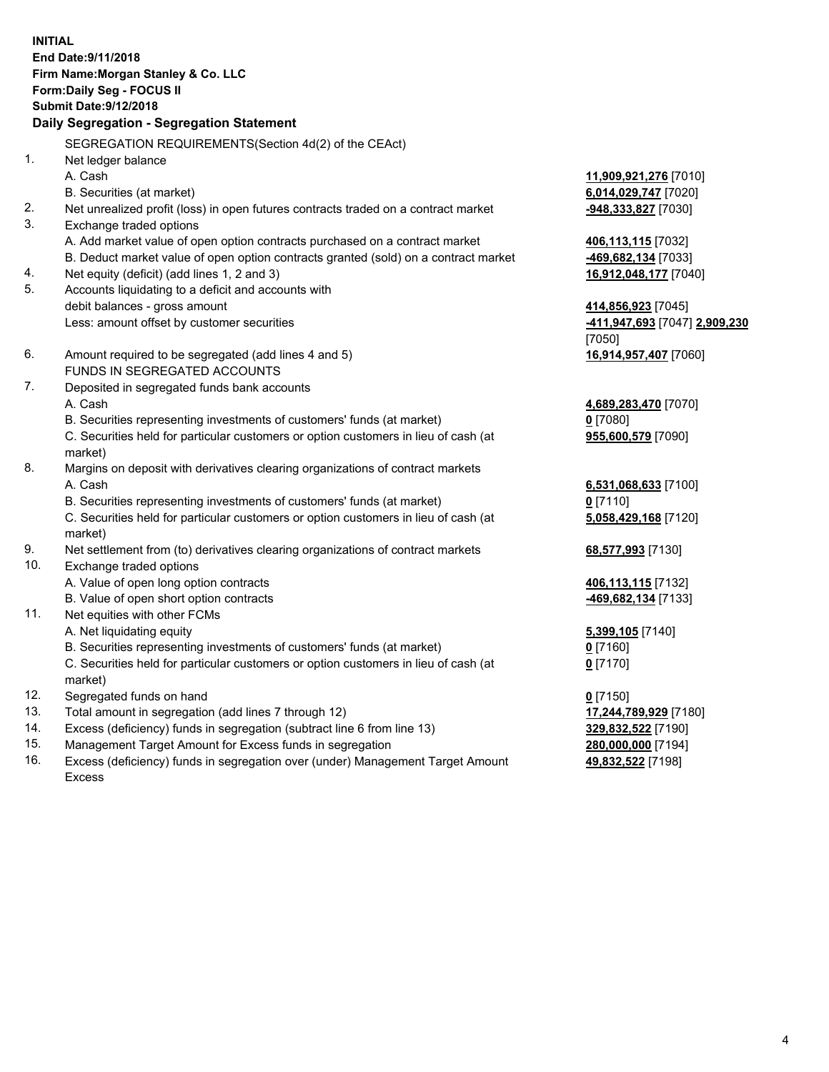**INITIAL End Date:9/11/2018 Firm Name:Morgan Stanley & Co. LLC Form:Daily Seg - FOCUS II Submit Date:9/12/2018 Daily Segregation - Segregation Statement** SEGREGATION REQUIREMENTS(Section 4d(2) of the CEAct) 1. Net ledger balance A. Cash **11,909,921,276** [7010] B. Securities (at market) **6,014,029,747** [7020] 2. Net unrealized profit (loss) in open futures contracts traded on a contract market **-948,333,827** [7030] 3. Exchange traded options A. Add market value of open option contracts purchased on a contract market **406,113,115** [7032] B. Deduct market value of open option contracts granted (sold) on a contract market **-469,682,134** [7033] 4. Net equity (deficit) (add lines 1, 2 and 3) **16,912,048,177** [7040] 5. Accounts liquidating to a deficit and accounts with debit balances - gross amount **414,856,923** [7045] Less: amount offset by customer securities **-411,947,693** [7047] **2,909,230** [7050] 6. Amount required to be segregated (add lines 4 and 5) **16,914,957,407** [7060] FUNDS IN SEGREGATED ACCOUNTS 7. Deposited in segregated funds bank accounts A. Cash **4,689,283,470** [7070] B. Securities representing investments of customers' funds (at market) **0** [7080] C. Securities held for particular customers or option customers in lieu of cash (at market) **955,600,579** [7090] 8. Margins on deposit with derivatives clearing organizations of contract markets A. Cash **6,531,068,633** [7100] B. Securities representing investments of customers' funds (at market) **0** [7110] C. Securities held for particular customers or option customers in lieu of cash (at market) **5,058,429,168** [7120] 9. Net settlement from (to) derivatives clearing organizations of contract markets **68,577,993** [7130] 10. Exchange traded options A. Value of open long option contracts **406,113,115** [7132] B. Value of open short option contracts **-469,682,134** [7133] 11. Net equities with other FCMs A. Net liquidating equity **5,399,105** [7140] B. Securities representing investments of customers' funds (at market) **0** [7160] C. Securities held for particular customers or option customers in lieu of cash (at market) **0** [7170] 12. Segregated funds on hand **0** [7150] 13. Total amount in segregation (add lines 7 through 12) **17,244,789,929** [7180] 14. Excess (deficiency) funds in segregation (subtract line 6 from line 13) **329,832,522** [7190]

- 15. Management Target Amount for Excess funds in segregation **280,000,000** [7194]
- 16. Excess (deficiency) funds in segregation over (under) Management Target Amount Excess

**49,832,522** [7198]